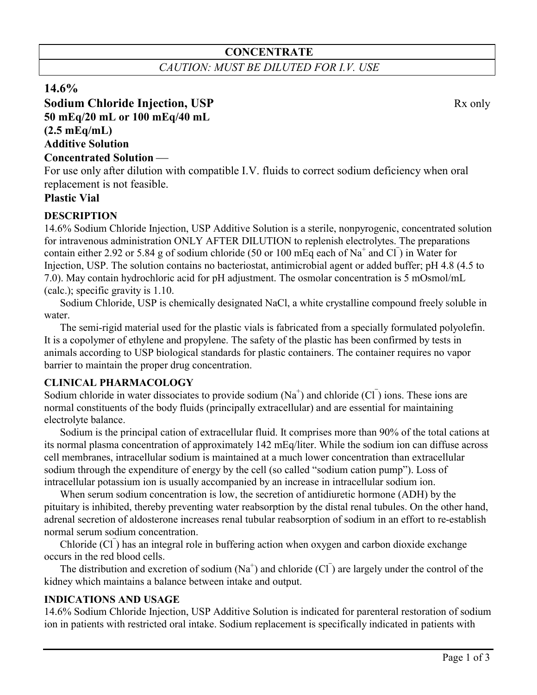# **CONCENTRATE**

*CAUTION: MUST BE DILUTED FOR I.V. USE*

## **14.6%**

# **Sodium Chloride Injection, USP** Rx only **50 mEq/20 mL or 100 mEq/40 mL (2.5 mEq/mL) Additive Solution**

#### **Concentrated Solution**

For use only after dilution with compatible I.V. fluids to correct sodium deficiency when oral replacement is not feasible.

### **Plastic Vial**

### **DESCRIPTION**

14.6% Sodium Chloride Injection, USP Additive Solution is a sterile, nonpyrogenic, concentrated solution for intravenous administration ONLY AFTER DILUTION to replenish electrolytes. The preparations contain either 2.92 or 5.84 g of sodium chloride (50 or 100 mEq each of Na<sup>+</sup> and Cl<sup>-</sup>) in Water for Injection, USP. The solution contains no bacteriostat, antimicrobial agent or added buffer; pH 4.8 (4.5 to 7.0). May contain hydrochloric acid for pH adjustment. The osmolar concentration is 5 mOsmol/mL (calc.); specific gravity is 1.10.

Sodium Chloride, USP is chemically designated NaCl, a white crystalline compound freely soluble in water.

The semi-rigid material used for the plastic vials is fabricated from a specially formulated polyolefin. It is a copolymer of ethylene and propylene. The safety of the plastic has been confirmed by tests in animals according to USP biological standards for plastic containers. The container requires no vapor barrier to maintain the proper drug concentration.

#### **CLINICAL PHARMACOLOGY**

Sodium chloride in water dissociates to provide sodium (Na<sup>+</sup>) and chloride (Cl<sup>-</sup>) ions. These ions are normal constituents of the body fluids (principally extracellular) and are essential for maintaining electrolyte balance.

Sodium is the principal cation of extracellular fluid. It comprises more than 90% of the total cations at its normal plasma concentration of approximately 142 mEq/liter. While the sodium ion can diffuse across cell membranes, intracellular sodium is maintained at a much lower concentration than extracellular sodium through the expenditure of energy by the cell (so called "sodium cation pump"). Loss of intracellular potassium ion is usually accompanied by an increase in intracellular sodium ion.

When serum sodium concentration is low, the secretion of antidiuretic hormone (ADH) by the pituitary is inhibited, thereby preventing water reabsorption by the distal renal tubules. On the other hand, adrenal secretion of aldosterone increases renal tubular reabsorption of sodium in an effort to re-establish normal serum sodium concentration.

Chloride (Cl<sup>-</sup>) has an integral role in buffering action when oxygen and carbon dioxide exchange occurs in the red blood cells.

The distribution and excretion of sodium  $(Na^+)$  and chloride  $(CI)$  are largely under the control of the kidney which maintains a balance between intake and output.

### **INDICATIONS AND USAGE**

14.6% Sodium Chloride Injection, USP Additive Solution is indicated for parenteral restoration of sodium ion in patients with restricted oral intake. Sodium replacement is specifically indicated in patients with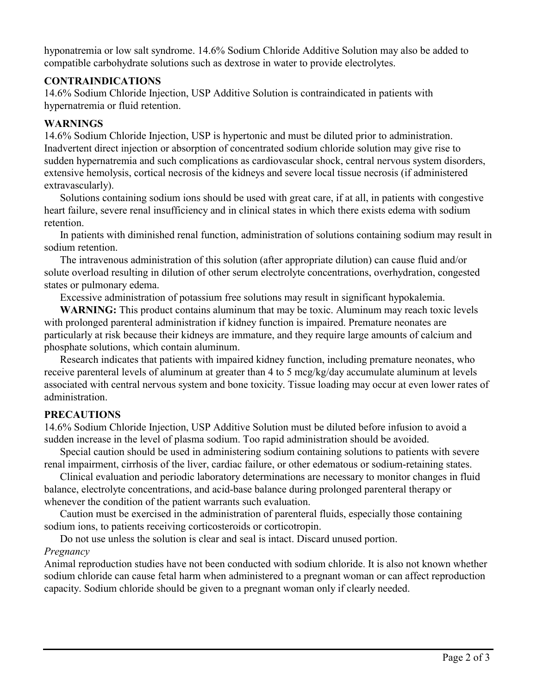hyponatremia or low salt syndrome. 14.6% Sodium Chloride Additive Solution may also be added to compatible carbohydrate solutions such as dextrose in water to provide electrolytes.

### **CONTRAINDICATIONS**

14.6% Sodium Chloride Injection, USP Additive Solution is contraindicated in patients with hypernatremia or fluid retention.

### **WARNINGS**

14.6% Sodium Chloride Injection, USP is hypertonic and must be diluted prior to administration. Inadvertent direct injection or absorption of concentrated sodium chloride solution may give rise to sudden hypernatremia and such complications as cardiovascular shock, central nervous system disorders, extensive hemolysis, cortical necrosis of the kidneys and severe local tissue necrosis (if administered extravascularly).

Solutions containing sodium ions should be used with great care, if at all, in patients with congestive heart failure, severe renal insufficiency and in clinical states in which there exists edema with sodium retention.

In patients with diminished renal function, administration of solutions containing sodium may result in sodium retention.

The intravenous administration of this solution (after appropriate dilution) can cause fluid and/or solute overload resulting in dilution of other serum electrolyte concentrations, overhydration, congested states or pulmonary edema.

Excessive administration of potassium free solutions may result in significant hypokalemia.

**WARNING:** This product contains aluminum that may be toxic. Aluminum may reach toxic levels with prolonged parenteral administration if kidney function is impaired. Premature neonates are particularly at risk because their kidneys are immature, and they require large amounts of calcium and phosphate solutions, which contain aluminum.

Research indicates that patients with impaired kidney function, including premature neonates, who receive parenteral levels of aluminum at greater than 4 to 5 mcg/kg/day accumulate aluminum at levels associated with central nervous system and bone toxicity. Tissue loading may occur at even lower rates of administration.

## **PRECAUTIONS**

14.6% Sodium Chloride Injection, USP Additive Solution must be diluted before infusion to avoid a sudden increase in the level of plasma sodium. Too rapid administration should be avoided.

Special caution should be used in administering sodium containing solutions to patients with severe renal impairment, cirrhosis of the liver, cardiac failure, or other edematous or sodium-retaining states.

Clinical evaluation and periodic laboratory determinations are necessary to monitor changes in fluid balance, electrolyte concentrations, and acid-base balance during prolonged parenteral therapy or whenever the condition of the patient warrants such evaluation.

Caution must be exercised in the administration of parenteral fluids, especially those containing sodium ions, to patients receiving corticosteroids or corticotropin.

Do not use unless the solution is clear and seal is intact. Discard unused portion.

## *Pregnancy*

Animal reproduction studies have not been conducted with sodium chloride. It is also not known whether sodium chloride can cause fetal harm when administered to a pregnant woman or can affect reproduction capacity. Sodium chloride should be given to a pregnant woman only if clearly needed.